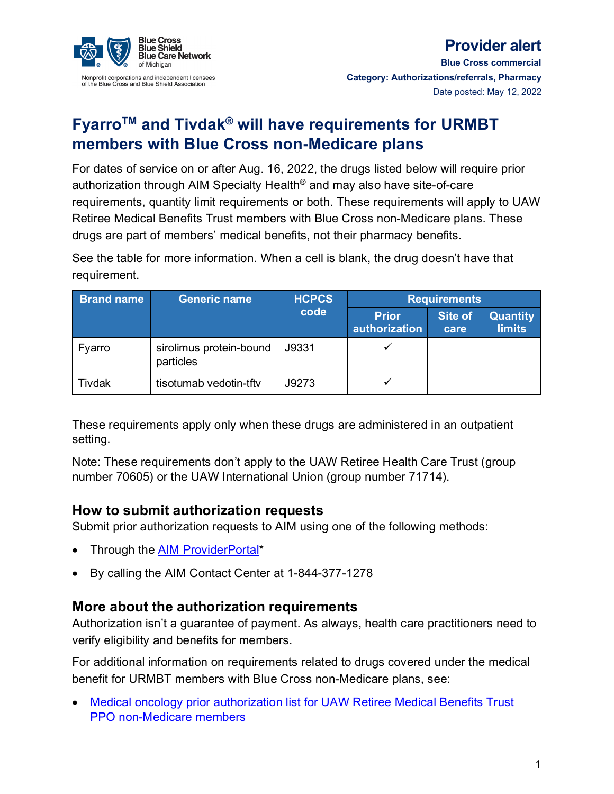

## **Provider alert**

**Blue Cross commercial Category: Authorizations/referrals, Pharmacy** Date posted: May 12, 2022

# **FyarroTM and Tivdak® will have requirements for URMBT members with Blue Cross non-Medicare plans**

For dates of service on or after Aug. 16, 2022, the drugs listed below will require prior authorization through AIM Specialty Health® and may also have site-of-care requirements, quantity limit requirements or both. These requirements will apply to UAW Retiree Medical Benefits Trust members with Blue Cross non-Medicare plans. These drugs are part of members' medical benefits, not their pharmacy benefits.

See the table for more information. When a cell is blank, the drug doesn't have that requirement.

| <b>Brand name</b> | <b>Generic name</b>                  | <b>HCPCS</b><br>code | <b>Requirements</b>           |                        |                           |
|-------------------|--------------------------------------|----------------------|-------------------------------|------------------------|---------------------------|
|                   |                                      |                      | <b>Prior</b><br>authorization | <b>Site of</b><br>care | Quantity<br><b>limits</b> |
| Fyarro            | sirolimus protein-bound<br>particles | J9331                |                               |                        |                           |
| Tivdak            | tisotumab vedotin-tftv               | J9273                |                               |                        |                           |

These requirements apply only when these drugs are administered in an outpatient setting.

Note: These requirements don't apply to the UAW Retiree Health Care Trust (group number 70605) or the UAW International Union (group number 71714).

#### **How to submit authorization requests**

Submit prior authorization requests to AIM using one of the following methods:

- Through the **AIM ProviderPortal\***
- By calling the AIM Contact Center at 1-844-377-1278

#### **More about the authorization requirements**

Authorization isn't a guarantee of payment. As always, health care practitioners need to verify eligibility and benefits for members.

For additional information on requirements related to drugs covered under the medical benefit for URMBT members with Blue Cross non-Medicare plans, see:

• [Medical oncology prior authorization list for UAW Retiree Medical Benefits Trust](http://ereferrals.bcbsm.com/docs/bcbsm/bcbsm-medical-oncology-prog-aim-drug-list-urmbt-ppo.pdf)  [PPO non-Medicare members](http://ereferrals.bcbsm.com/docs/bcbsm/bcbsm-medical-oncology-prog-aim-drug-list-urmbt-ppo.pdf)